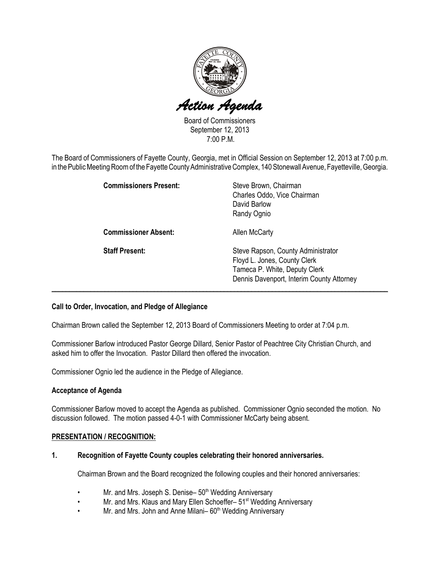

Board of Commissioners September 12, 2013 7:00 P.M.

The Board of Commissioners of Fayette County, Georgia, met in Official Session on September 12, 2013 at 7:00 p.m. in the Public Meeting Room of the Fayette County Administrative Complex, 140 Stonewall Avenue, Fayetteville, Georgia.

| <b>Commissioners Present:</b> | Steve Brown, Chairman<br>Charles Oddo, Vice Chairman<br>David Barlow<br>Randy Ognio                                                              |
|-------------------------------|--------------------------------------------------------------------------------------------------------------------------------------------------|
| <b>Commissioner Absent:</b>   | <b>Allen McCarty</b>                                                                                                                             |
| <b>Staff Present:</b>         | Steve Rapson, County Administrator<br>Floyd L. Jones, County Clerk<br>Tameca P. White, Deputy Clerk<br>Dennis Davenport, Interim County Attorney |

### Call to Order, Invocation, and Pledge of Allegiance

Chairman Brown called the September 12, 2013 Board of Commissioners Meeting to order at 7:04 p.m.

Commissioner Barlow introduced Pastor George Dillard, Senior Pastor of Peachtree City Christian Church, and asked him to offer the Invocation. Pastor Dillard then offered the invocation.

Commissioner Ognio led the audience in the Pledge of Allegiance.

#### Acceptance of Agenda

Commissioner Barlow moved to accept the Agenda as published. Commissioner Ognio seconded the motion. No discussion followed. The motion passed 4-0-1 with Commissioner McCarty being absent.

#### PRESENTATION / RECOGNITION:

#### 1. Recognition of Fayette County couples celebrating their honored anniversaries.

Chairman Brown and the Board recognized the following couples and their honored anniversaries:

- Mr. and Mrs. Joseph S. Denise- 50<sup>th</sup> Wedding Anniversary
- Mr. and Mrs. Klaus and Mary Ellen Schoeffer- 51<sup>st</sup> Wedding Anniversary
- Mr. and Mrs. John and Anne Milani– 60<sup>th</sup> Wedding Anniversary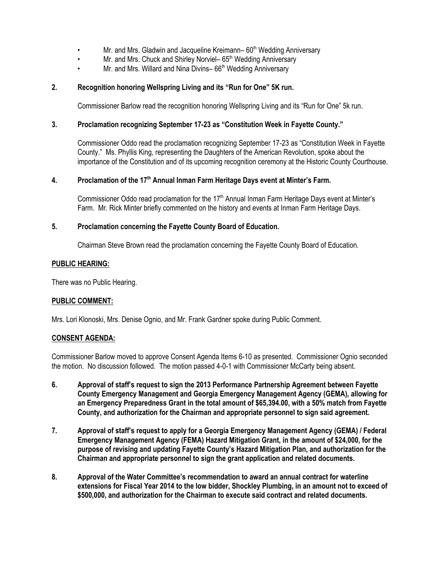- Mr. and Mrs. Gladwin and Jacqueline Kreimann– 60<sup>th</sup> Wedding Anniversary
- Mr. and Mrs. Chuck and Shirley Norviel– 65<sup>th</sup> Wedding Anniversary
- Mr. and Mrs. Willard and Nina Divins- 66<sup>th</sup> Wedding Anniversary

## 2. Recognition honoring Wellspring Living and its "Run for One" 5K run.

Commissioner Barlow read the recognition honoring Wellspring Living and its "Run for One" 5k run.

### 3. Proclamation recognizing September 17-23 as "Constitution Week in Fayette County."

Commissioner Oddo read the proclamation recognizing September 17-23 as "Constitution Week in Fayette County." Ms. Phyllis King, representing the Daughters of the American Revolution, spoke about the importance of the Constitution and of its upcoming recognition ceremony at the Historic County Courthouse.

### 4. Proclamation of the 17<sup>th</sup> Annual Inman Farm Heritage Days event at Minter's Farm.

Commissioner Oddo read proclamation for the 17<sup>th</sup> Annual Inman Farm Heritage Days event at Minter's Farm. Mr. Rick Minter briefly commented on the history and events at Inman Farm Heritage Days.

### 5. Proclamation concerning the Fayette County Board of Education.

Chairman Steve Brown read the proclamation concerning the Fayette County Board of Education.

### PUBLIC HEARING:

There was no Public Hearing.

### PUBLIC COMMENT:

Mrs. Lori Klonoski, Mrs. Denise Ognio, and Mr. Frank Gardner spoke during Public Comment.

### CONSENT AGENDA:

Commissioner Barlow moved to approve Consent Agenda Items 6-10 as presented. Commissioner Ognio seconded the motion. No discussion followed. The motion passed 4-0-1 with Commissioner McCarty being absent.

- 6. Approval of staff's request to sign the 2013 Performance Partnership Agreement between Fayette County Emergency Management and Georgia Emergency Management Agency (GEMA), allowing for an Emergency Preparedness Grant in the total amount of \$65,394.00, with a 50% match from Fayette County, and authorization for the Chairman and appropriate personnel to sign said agreement.
- 7. Approval of staff's request to apply for a Georgia Emergency Management Agency (GEMA) / Federal Emergency Management Agency (FEMA) Hazard Mitigation Grant, in the amount of \$24,000, for the purpose of revising and updating Fayette County's Hazard Mitigation Plan, and authorization for the Chairman and appropriate personnel to sign the grant application and related documents.
- 8. Approval of the Water Committee's recommendation to award an annual contract for waterline extensions for Fiscal Year 2014 to the low bidder, Shockley Plumbing, in an amount not to exceed of \$500,000, and authorization for the Chairman to execute said contract and related documents.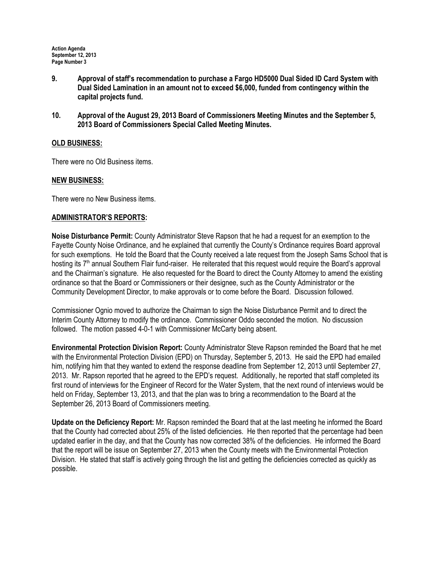- 9. Approval of staff's recommendation to purchase a Fargo HD5000 Dual Sided ID Card System with Dual Sided Lamination in an amount not to exceed \$6,000, funded from contingency within the capital projects fund.
- 10. Approval of the August 29, 2013 Board of Commissioners Meeting Minutes and the September 5, 2013 Board of Commissioners Special Called Meeting Minutes.

## OLD BUSINESS:

There were no Old Business items.

## NEW BUSINESS:

There were no New Business items.

## ADMINISTRATOR'S REPORTS:

Noise Disturbance Permit: County Administrator Steve Rapson that he had a request for an exemption to the Fayette County Noise Ordinance, and he explained that currently the County's Ordinance requires Board approval for such exemptions. He told the Board that the County received a late request from the Joseph Sams School that is hosting its 7<sup>th</sup> annual Southern Flair fund-raiser. He reiterated that this request would require the Board's approval and the Chairman's signature. He also requested for the Board to direct the County Attorney to amend the existing ordinance so that the Board or Commissioners or their designee, such as the County Administrator or the Community Development Director, to make approvals or to come before the Board. Discussion followed.

Commissioner Ognio moved to authorize the Chairman to sign the Noise Disturbance Permit and to direct the Interim County Attorney to modify the ordinance. Commissioner Oddo seconded the motion. No discussion followed. The motion passed 4-0-1 with Commissioner McCarty being absent.

Environmental Protection Division Report: County Administrator Steve Rapson reminded the Board that he met with the Environmental Protection Division (EPD) on Thursday, September 5, 2013. He said the EPD had emailed him, notifying him that they wanted to extend the response deadline from September 12, 2013 until September 27, 2013. Mr. Rapson reported that he agreed to the EPD's request. Additionally, he reported that staff completed its first round of interviews for the Engineer of Record for the Water System, that the next round of interviews would be held on Friday, September 13, 2013, and that the plan was to bring a recommendation to the Board at the September 26, 2013 Board of Commissioners meeting.

Update on the Deficiency Report: Mr. Rapson reminded the Board that at the last meeting he informed the Board that the County had corrected about 25% of the listed deficiencies. He then reported that the percentage had been updated earlier in the day, and that the County has now corrected 38% of the deficiencies. He informed the Board that the report will be issue on September 27, 2013 when the County meets with the Environmental Protection Division. He stated that staff is actively going through the list and getting the deficiencies corrected as quickly as possible.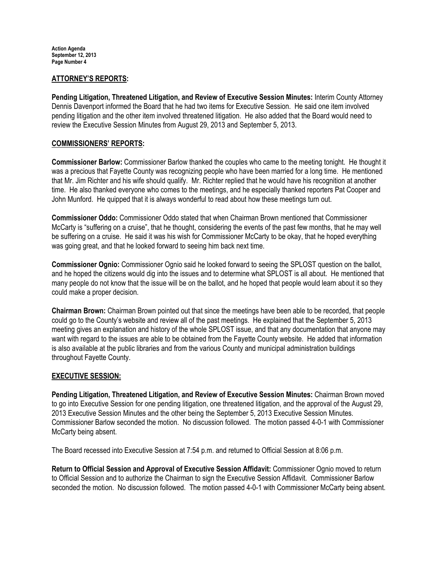### ATTORNEY'S REPORTS:

Pending Litigation, Threatened Litigation, and Review of Executive Session Minutes: Interim County Attorney Dennis Davenport informed the Board that he had two items for Executive Session. He said one item involved pending litigation and the other item involved threatened litigation. He also added that the Board would need to review the Executive Session Minutes from August 29, 2013 and September 5, 2013.

#### COMMISSIONERS' REPORTS:

Commissioner Barlow: Commissioner Barlow thanked the couples who came to the meeting tonight. He thought it was a precious that Fayette County was recognizing people who have been married for a long time. He mentioned that Mr. Jim Richter and his wife should qualify. Mr. Richter replied that he would have his recognition at another time. He also thanked everyone who comes to the meetings, and he especially thanked reporters Pat Cooper and John Munford. He quipped that it is always wonderful to read about how these meetings turn out.

Commissioner Oddo: Commissioner Oddo stated that when Chairman Brown mentioned that Commissioner McCarty is "suffering on a cruise", that he thought, considering the events of the past few months, that he may well be suffering on a cruise. He said it was his wish for Commissioner McCarty to be okay, that he hoped everything was going great, and that he looked forward to seeing him back next time.

Commissioner Ognio: Commissioner Ognio said he looked forward to seeing the SPLOST question on the ballot, and he hoped the citizens would dig into the issues and to determine what SPLOST is all about. He mentioned that many people do not know that the issue will be on the ballot, and he hoped that people would learn about it so they could make a proper decision.

Chairman Brown: Chairman Brown pointed out that since the meetings have been able to be recorded, that people could go to the County's website and review all of the past meetings. He explained that the September 5, 2013 meeting gives an explanation and history of the whole SPLOST issue, and that any documentation that anyone may want with regard to the issues are able to be obtained from the Fayette County website. He added that information is also available at the public libraries and from the various County and municipal administration buildings throughout Fayette County.

### EXECUTIVE SESSION:

Pending Litigation, Threatened Litigation, and Review of Executive Session Minutes: Chairman Brown moved to go into Executive Session for one pending litigation, one threatened litigation, and the approval of the August 29, 2013 Executive Session Minutes and the other being the September 5, 2013 Executive Session Minutes. Commissioner Barlow seconded the motion. No discussion followed. The motion passed 4-0-1 with Commissioner McCarty being absent.

The Board recessed into Executive Session at 7:54 p.m. and returned to Official Session at 8:06 p.m.

Return to Official Session and Approval of Executive Session Affidavit: Commissioner Ognio moved to return to Official Session and to authorize the Chairman to sign the Executive Session Affidavit. Commissioner Barlow seconded the motion. No discussion followed. The motion passed 4-0-1 with Commissioner McCarty being absent.